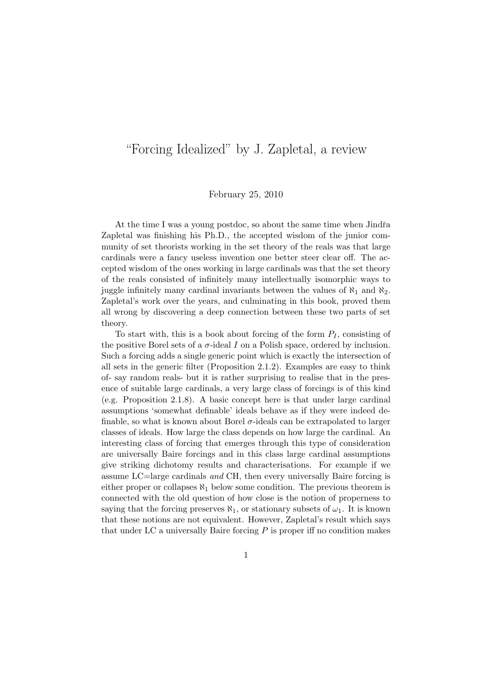## "Forcing Idealized" by J. Zapletal, a review

## February 25, 2010

At the time I was a young postdoc, so about the same time when Jindřa Zapletal was finishing his Ph.D., the accepted wisdom of the junior community of set theorists working in the set theory of the reals was that large cardinals were a fancy useless invention one better steer clear off. The accepted wisdom of the ones working in large cardinals was that the set theory of the reals consisted of infinitely many intellectually isomorphic ways to juggle infinitely many cardinal invariants between the values of  $\aleph_1$  and  $\aleph_2$ . Zapletal's work over the years, and culminating in this book, proved them all wrong by discovering a deep connection between these two parts of set theory.

To start with, this is a book about forcing of the form  $P_I$ , consisting of the positive Borel sets of a  $\sigma$ -ideal I on a Polish space, ordered by inclusion. Such a forcing adds a single generic point which is exactly the intersection of all sets in the generic filter (Proposition 2.1.2). Examples are easy to think of- say random reals- but it is rather surprising to realise that in the presence of suitable large cardinals, a very large class of forcings is of this kind (e.g. Proposition 2.1.8). A basic concept here is that under large cardinal assumptions 'somewhat definable' ideals behave as if they were indeed definable, so what is known about Borel  $\sigma$ -ideals can be extrapolated to larger classes of ideals. How large the class depends on how large the cardinal. An interesting class of forcing that emerges through this type of consideration are universally Baire forcings and in this class large cardinal assumptions give striking dichotomy results and characterisations. For example if we assume LC=large cardinals and CH, then every universally Baire forcing is either proper or collapses  $\aleph_1$  below some condition. The previous theorem is connected with the old question of how close is the notion of properness to saying that the forcing preserves  $\aleph_1$ , or stationary subsets of  $\omega_1$ . It is known that these notions are not equivalent. However, Zapletal's result which says that under LC a universally Baire forcing  $P$  is proper iff no condition makes